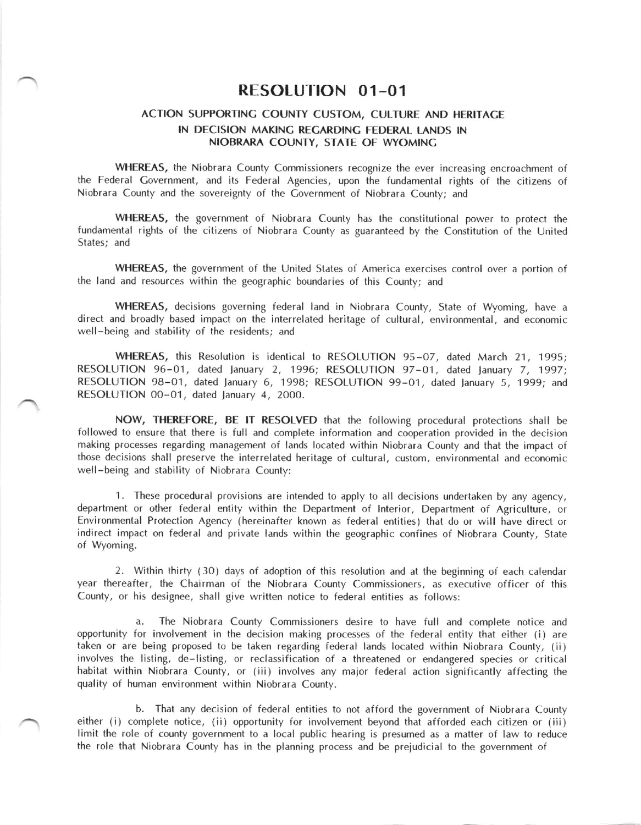## RESOLUTION 01-O1

## ACTION SUPPORTING COUNTY CUSTOM, CULTURE AND HERITAGE IN DECISION MAKINC RECARDING FEDERAL LANDS IN NIOBRARA COUNTY, STATE OF WYOMING

WHEREAS, the Niobrara County Commissioners recognize the ever increasing encroachment of the Federal Covernment, and its Federal Agencies, upon the fundamental rights of the citizens of Niobrara County and the sovereignty of the Covernment of Niobrara County; and

WHEREAS, the government of Niobrara County has the constitutional power to protect the fundamental rights of the citizens of Niobrara County as guaranteed by the Constitution of the United States; and

WHEREAS, the government of the United States of America exercises control over a portion of the land and resources within the geographic boundaries of this County; and

WHEREAS, decisions governing federal land in Niobrara County, State of Wyoming, have <sup>a</sup> direct and broadly based impact on the interrelated heritage of cultural, environmental, and economic well-being and stability of the residents; and

WHEREAS, this Resolution is identical to RESOLUTION 95-07, dated March 21, 1995; RESOLUTION 96-01, dated January 2, 1996; RESOLUTION 97-01, dated January 7, 1997; RESOLUTION 98-01, dated January 6, 1998; RESOLUTION 99-01, dated January 5, 1999; and RESOLUTION 00-01, dated January 4, 2000.

NOW, THEREFORE, BE lT RESOLVED that the following procedural protections shall be followed to ensure that there is full and complete information and cooperation provided in the decision making processes regarding management of lands located within Niobrara County and that the impact of those decisions shall preserve the interrelated heritage of cultural, custom, environmental and economic well-being and stability of Niobrara County:

1. These procedural provisions are intended to apply to all decisions undertaken by any agency, department or other federal entity within the Department of lnterior, Department of Agriculture, or Environmental Protection Agency (hereinafter known as federal entities) that do or will have direct or indirect impact on federal and private lands within the geographic confines of Niobrara County, State of Wyoming.

2. Within thirty (30) days of adoption of this resolution and at the beginning of each calendar year thereafter, the Chairman of the Niobrara County Commissioners, as executive officer of this County, or his designee, shall give written notice to federal entities as follows:

a. The Niobrara County Commissioners desire to have full and complete notice and opportunity for involvement in the decision making processes of the federal entity that either (i) are taken or are being proposed to be taken regarding federal lands located within Niobrara County, (ii) involves the listing, de-listing, or reclassification of a threatened or endangered species or critical habitat within Niobrara County, or (iii) involves any major federal action significantly affecting the quality of human environment within Niobrara County.

b. That any decision of federal entities to not afford the government of Niobrara County either (i) complete notice, (ii) opportunity for involvement beyond that afforded each citizen or (iii) limit the role of county government to a local public hearing is presumed as a matter of law to reduce the role that Niobrara County has in the planning process and be prejudicial to the government of